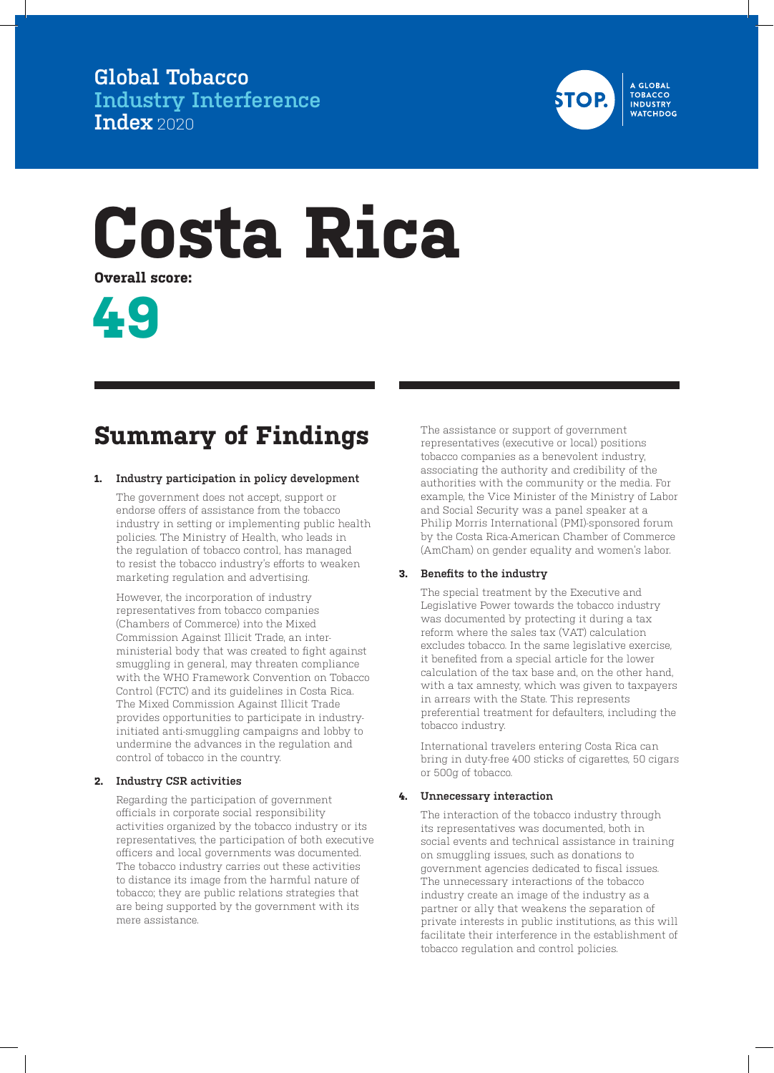**Global Tobacco Industry Interference Index** 2020



# **Costa Rica**

**Overall score:**



## **Summary of Findings**

## **1. Industry participation in policy development**

The government does not accept, support or endorse offers of assistance from the tobacco industry in setting or implementing public health policies. The Ministry of Health, who leads in the regulation of tobacco control, has managed to resist the tobacco industry's efforts to weaken marketing regulation and advertising.

However, the incorporation of industry representatives from tobacco companies (Chambers of Commerce) into the Mixed Commission Against Illicit Trade, an interministerial body that was created to fight against smuggling in general, may threaten compliance with the WHO Framework Convention on Tobacco Control (FCTC) and its guidelines in Costa Rica. The Mixed Commission Against Illicit Trade provides opportunities to participate in industryinitiated anti-smuggling campaigns and lobby to undermine the advances in the regulation and control of tobacco in the country.

## **2. Industry CSR activities**

Regarding the participation of government officials in corporate social responsibility activities organized by the tobacco industry or its representatives, the participation of both executive officers and local governments was documented. The tobacco industry carries out these activities to distance its image from the harmful nature of tobacco; they are public relations strategies that are being supported by the government with its mere assistance.

The assistance or support of government representatives (executive or local) positions tobacco companies as a benevolent industry, associating the authority and credibility of the authorities with the community or the media. For example, the Vice Minister of the Ministry of Labor and Social Security was a panel speaker at a Philip Morris International (PMI)-sponsored forum by the Costa Rica-American Chamber of Commerce (AmCham) on gender equality and women's labor.

## **3. Benefits to the industry**

The special treatment by the Executive and Legislative Power towards the tobacco industry was documented by protecting it during a tax reform where the sales tax (VAT) calculation excludes tobacco. In the same legislative exercise, it benefited from a special article for the lower calculation of the tax base and, on the other hand, with a tax amnesty, which was given to taxpayers in arrears with the State. This represents preferential treatment for defaulters, including the tobacco industry.

International travelers entering Costa Rica can bring in duty-free 400 sticks of cigarettes, 50 cigars or 500g of tobacco.

## **4. Unnecessary interaction**

The interaction of the tobacco industry through its representatives was documented, both in social events and technical assistance in training on smuggling issues, such as donations to government agencies dedicated to fiscal issues. The unnecessary interactions of the tobacco industry create an image of the industry as a partner or ally that weakens the separation of private interests in public institutions, as this will facilitate their interference in the establishment of tobacco regulation and control policies.